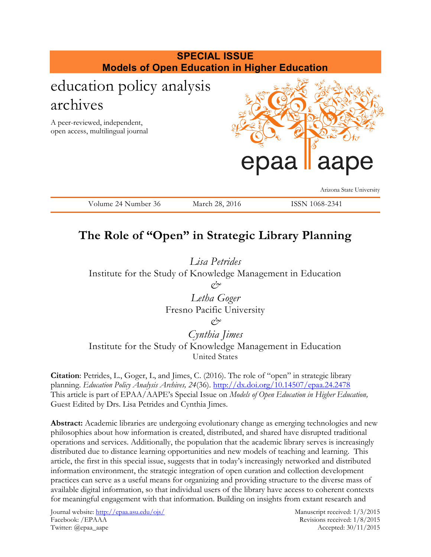

# **The Role of "Open" in Strategic Library Planning**

*Lisa Petrides* Institute for the Study of Knowledge Management in Education *& Letha Goger*

Fresno Pacific University

*&*

*Cynthia Jimes* Institute for the Study of Knowledge Management in Education United States

**Citation**: Petrides, L., Goger, L, and Jimes, C. (2016). The role of "open" in strategic library planning. *Education Policy Analysis Archives, 24*(36).<http://dx.doi.org/10.14507/epaa.24.2478> This article is part of EPAA/AAPE's Special Issue on *Models of Open Education in Higher Education,* Guest Edited by Drs. Lisa Petrides and Cynthia Jimes.

**Abstract:** Academic libraries are undergoing evolutionary change as emerging technologies and new philosophies about how information is created, distributed, and shared have disrupted traditional operations and services. Additionally, the population that the academic library serves is increasingly distributed due to distance learning opportunities and new models of teaching and learning. This article, the first in this special issue, suggests that in today's increasingly networked and distributed information environment, the strategic integration of open curation and collection development practices can serve as a useful means for organizing and providing structure to the diverse mass of available digital information, so that individual users of the library have access to coherent contexts for meaningful engagement with that information. Building on insights from extant research and

Journal website:<http://epaa.asu.edu/ojs/> Manuscript received: 1/3/2015 Facebook: /EPAAA Revisions received: 1/8/2015 Twitter: @epaa\_aape Accepted: 30/11/2015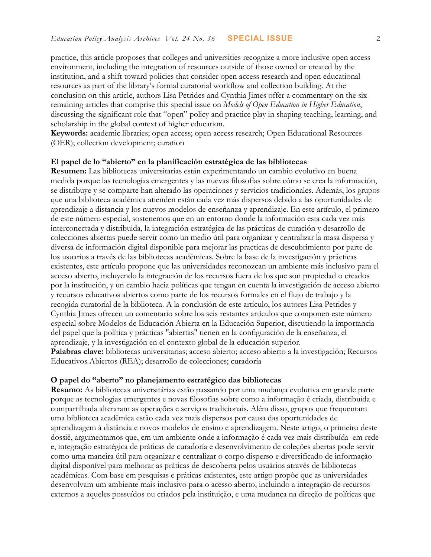practice, this article proposes that colleges and universities recognize a more inclusive open access environment, including the integration of resources outside of those owned or created by the institution, and a shift toward policies that consider open access research and open educational resources as part of the library's formal curatorial workflow and collection building. At the conclusion on this article, authors Lisa Petrides and Cynthia Jimes offer a commentary on the six remaining articles that comprise this special issue on *Models of Open Education in Higher Education*, discussing the significant role that "open" policy and practice play in shaping teaching, learning, and scholarship in the global context of higher education.

**Keywords:** academic libraries; open access; open access research; Open Educational Resources (OER); collection development; curation

#### **El papel de lo "abierto" en la planificación estratégica de las bibliotecas**

**Resumen:** Las bibliotecas universitarias están experimentando un cambio evolutivo en buena medida porque las tecnologías emergentes y las nuevas filosofías sobre cómo se crea la información, se distribuye y se comparte han alterado las operaciones y servicios tradicionales. Además, los grupos que una biblioteca académica atienden están cada vez más dispersos debido a las oportunidades de aprendizaje a distancia y los nuevos modelos de enseñanza y aprendizaje. En este artículo, el primero de este número especial, sostenemos que en un entorno donde la información esta cada vez más interconectada y distribuida, la integración estratégica de las prácticas de curación y desarrollo de colecciones abiertas puede servir como un medio útil para organizar y centralizar la masa dispersa y diversa de información digital disponible para mejorar las practicas de descubrimiento por parte de los usuarios a través de las bibliotecas académicas. Sobre la base de la investigación y prácticas existentes, este artículo propone que las universidades reconozcan un ambiente más inclusivo para el acceso abierto, incluyendo la integración de los recursos fuera de los que son propiedad o creados por la institución, y un cambio hacia políticas que tengan en cuenta la investigación de acceso abierto y recursos educativos abiertos como parte de los recursos formales en el flujo de trabajo y la recogida curatorial de la biblioteca. A la conclusión de este artículo, los autores Lisa Petrides y Cynthia Jimes ofrecen un comentario sobre los seis restantes artículos que componen este número especial sobre Modelos de Educación Abierta en la Educación Superior, discutiendo la importancia del papel que la política y prácticas "abiertas" tienen en la configuración de la enseñanza, el aprendizaje, y la investigación en el contexto global de la educación superior. **Palabras clave:** bibliotecas universitarias; acceso abierto; acceso abierto a la investigación; Recursos Educativos Abiertos (REA); desarrollo de colecciones; curadoría

#### **O papel do "aberto" no planejamento estratégico das bibliotecas**

**Resumo:** As bibliotecas universitárias estão passando por uma mudança evolutiva em grande parte porque as tecnologias emergentes e novas filosofias sobre como a informação é criada, distribuída e compartilhada alteraram as operações e serviços tradicionais. Além disso, grupos que frequentam uma biblioteca acadêmica estão cada vez mais dispersos por causa das oportunidades de aprendizagem à distância e novos modelos de ensino e aprendizagem. Neste artigo, o primeiro deste dossiê, argumentamos que, em um ambiente onde a informação é cada vez mais distribuída em rede e, integração estratégica de práticas de curadoría e desenvolvimento de coleções abertas pode servir como uma maneira útil para organizar e centralizar o corpo disperso e diversificado de informação digital disponível para melhorar as práticas de descoberta pelos usuários através de bibliotecas acadêmicas. Com base em pesquisas e práticas existentes, este artigo propõe que as universidades desenvolvam um ambiente mais inclusivo para o acesso aberto, incluindo a integração de recursos externos a aqueles possuídos ou criados pela instituição, e uma mudança na direção de políticas que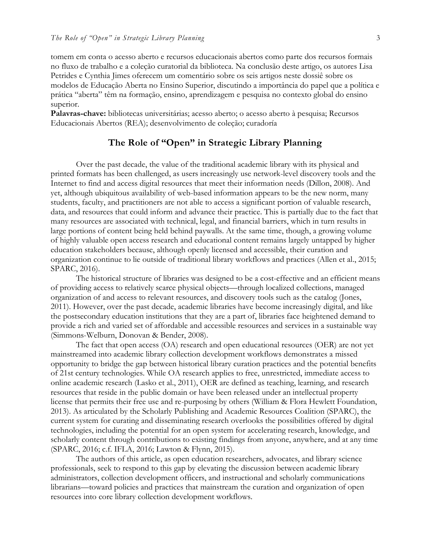tomem em conta o acesso aberto e recursos educacionais abertos como parte dos recursos formais no fluxo de trabalho e a coleção curatorial da biblioteca. Na conclusão deste artigo, os autores Lisa Petrides e Cynthia Jimes oferecem um comentário sobre os seis artigos neste dossiê sobre os modelos de Educação Aberta no Ensino Superior, discutindo a importância do papel que a política e prática "aberta" têm na formação, ensino, aprendizagem e pesquisa no contexto global do ensino superior.

**Palavras-chave:** bibliotecas universitárias; acesso aberto; o acesso aberto à pesquisa; Recursos Educacionais Abertos (REA); desenvolvimento de coleção; curadoría

## **The Role of "Open" in Strategic Library Planning**

Over the past decade, the value of the traditional academic library with its physical and printed formats has been challenged, as users increasingly use network-level discovery tools and the Internet to find and access digital resources that meet their information needs (Dillon, 2008). And yet, although ubiquitous availability of web-based information appears to be the new norm, many students, faculty, and practitioners are not able to access a significant portion of valuable research, data, and resources that could inform and advance their practice. This is partially due to the fact that many resources are associated with technical, legal, and financial barriers, which in turn results in large portions of content being held behind paywalls. At the same time, though, a growing volume of highly valuable open access research and educational content remains largely untapped by higher education stakeholders because, although openly licensed and accessible, their curation and organization continue to lie outside of traditional library workflows and practices (Allen et al., 2015; SPARC, 2016).

The historical structure of libraries was designed to be a cost-effective and an efficient means of providing access to relatively scarce physical objects—through localized collections, managed organization of and access to relevant resources, and discovery tools such as the catalog (Jones, 2011). However, over the past decade, academic libraries have become increasingly digital, and like the postsecondary education institutions that they are a part of, libraries face heightened demand to provide a rich and varied set of affordable and accessible resources and services in a sustainable way (Simmons-Welburn, Donovan & Bender, 2008).

The fact that open access (OA) research and open educational resources (OER) are not yet mainstreamed into academic library collection development workflows demonstrates a missed opportunity to bridge the gap between historical library curation practices and the potential benefits of 21st century technologies. While OA research applies to free, unrestricted, immediate access to online academic research (Lasko et al., 2011), OER are defined as teaching, learning, and research resources that reside in the public domain or have been released under an intellectual property license that permits their free use and re-purposing by others (William & Flora Hewlett Foundation, 2013). As articulated by the Scholarly Publishing and Academic Resources Coalition (SPARC), the current system for curating and disseminating research overlooks the possibilities offered by digital technologies, including the potential for an open system for accelerating research, knowledge, and scholarly content through contributions to existing findings from anyone, anywhere, and at any time (SPARC, 2016; c.f. IFLA, 2016; Lawton & Flynn, 2015).

The authors of this article, as open education researchers, advocates, and library science professionals, seek to respond to this gap by elevating the discussion between academic library administrators, collection development officers, and instructional and scholarly communications librarians—toward policies and practices that mainstream the curation and organization of open resources into core library collection development workflows.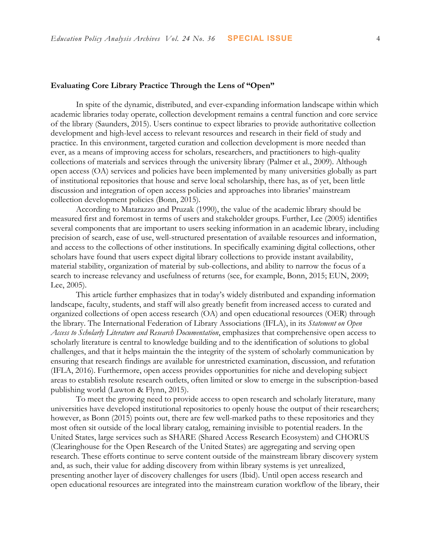## **Evaluating Core Library Practice Through the Lens of "Open"**

In spite of the dynamic, distributed, and ever-expanding information landscape within which academic libraries today operate, collection development remains a central function and core service of the library (Saunders, 2015). Users continue to expect libraries to provide authoritative collection development and high-level access to relevant resources and research in their field of study and practice. In this environment, targeted curation and collection development is more needed than ever, as a means of improving access for scholars, researchers, and practitioners to high-quality collections of materials and services through the university library (Palmer et al., 2009). Although open access (OA) services and policies have been implemented by many universities globally as part of institutional repositories that house and serve local scholarship, there has, as of yet, been little discussion and integration of open access policies and approaches into libraries' mainstream collection development policies (Bonn, 2015).

According to Matarazzo and Pruzak (1990), the value of the academic library should be measured first and foremost in terms of users and stakeholder groups. Further, Lee (2005) identifies several components that are important to users seeking information in an academic library, including precision of search, ease of use, well-structured presentation of available resources and information, and access to the collections of other institutions. In specifically examining digital collections, other scholars have found that users expect digital library collections to provide instant availability, material stability, organization of material by sub-collections, and ability to narrow the focus of a search to increase relevancy and usefulness of returns (see, for example, Bonn, 2015; EUN, 2009; Lee, 2005).

This article further emphasizes that in today's widely distributed and expanding information landscape, faculty, students, and staff will also greatly benefit from increased access to curated and organized collections of open access research (OA) and open educational resources (OER) through the library. The International Federation of Library Associations (IFLA), in its *Statement on Open Access to Scholarly Literature and Research Documentation*, emphasizes that comprehensive open access to scholarly literature is central to knowledge building and to the identification of solutions to global challenges, and that it helps maintain the the integrity of the system of scholarly communication by ensuring that research findings are available for unrestricted examination, discussion, and refutation (IFLA, 2016). Furthermore, open access provides opportunities for niche and developing subject areas to establish resolute research outlets, often limited or slow to emerge in the subscription-based publishing world (Lawton & Flynn, 2015).

To meet the growing need to provide access to open research and scholarly literature, many universities have developed institutional repositories to openly house the output of their researchers; however, as Bonn (2015) points out, there are few well-marked paths to these repositories and they most often sit outside of the local library catalog, remaining invisible to potential readers. In the United States, large services such as SHARE (Shared Access Research Ecosystem) and CHORUS (Clearinghouse for the Open Research of the United States) are aggregating and serving open research. These efforts continue to serve content outside of the mainstream library discovery system and, as such, their value for adding discovery from within library systems is yet unrealized, presenting another layer of discovery challenges for users (Ibid). Until open access research and open educational resources are integrated into the mainstream curation workflow of the library, their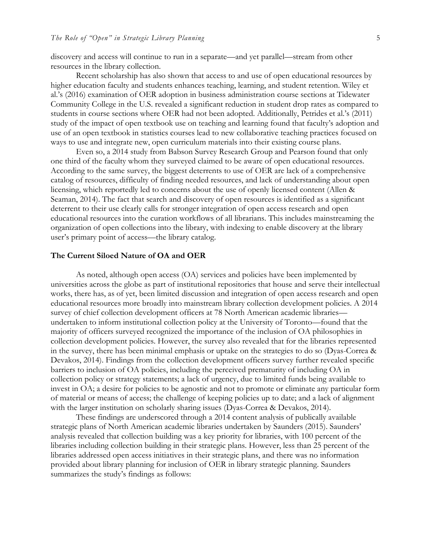discovery and access will continue to run in a separate—and yet parallel—stream from other resources in the library collection.

Recent scholarship has also shown that access to and use of open educational resources by higher education faculty and students enhances teaching, learning, and student retention. Wiley et al.'s (2016) examination of OER adoption in business administration course sections at Tidewater Community College in the U.S. revealed a significant reduction in student drop rates as compared to students in course sections where OER had not been adopted. Additionally, Petrides et al.'s (2011) study of the impact of open textbook use on teaching and learning found that faculty's adoption and use of an open textbook in statistics courses lead to new collaborative teaching practices focused on ways to use and integrate new, open curriculum materials into their existing course plans.

Even so, a 2014 study from Babson Survey Research Group and Pearson found that only one third of the faculty whom they surveyed claimed to be aware of open educational resources. According to the same survey, the biggest deterrents to use of OER are lack of a comprehensive catalog of resources, difficulty of finding needed resources, and lack of understanding about open licensing, which reportedly led to concerns about the use of openly licensed content (Allen & Seaman, 2014). The fact that search and discovery of open resources is identified as a significant deterrent to their use clearly calls for stronger integration of open access research and open educational resources into the curation workflows of all librarians. This includes mainstreaming the organization of open collections into the library, with indexing to enable discovery at the library user's primary point of access—the library catalog.

#### **The Current Siloed Nature of OA and OER**

As noted, although open access (OA) services and policies have been implemented by universities across the globe as part of institutional repositories that house and serve their intellectual works, there has, as of yet, been limited discussion and integration of open access research and open educational resources more broadly into mainstream library collection development policies. A 2014 survey of chief collection development officers at 78 North American academic libraries undertaken to inform institutional collection policy at the University of Toronto—found that the majority of officers surveyed recognized the importance of the inclusion of OA philosophies in collection development policies. However, the survey also revealed that for the libraries represented in the survey, there has been minimal emphasis or uptake on the strategies to do so (Dyas-Correa & Devakos, 2014). Findings from the collection development officers survey further revealed specific barriers to inclusion of OA policies, including the perceived prematurity of including OA in collection policy or strategy statements; a lack of urgency, due to limited funds being available to invest in OA; a desire for policies to be agnostic and not to promote or eliminate any particular form of material or means of access; the challenge of keeping policies up to date; and a lack of alignment with the larger institution on scholarly sharing issues (Dyas-Correa & Devakos, 2014).

These findings are underscored through a 2014 content analysis of publically available strategic plans of North American academic libraries undertaken by Saunders (2015). Saunders' analysis revealed that collection building was a key priority for libraries, with 100 percent of the libraries including collection building in their strategic plans. However, less than 25 percent of the libraries addressed open access initiatives in their strategic plans, and there was no information provided about library planning for inclusion of OER in library strategic planning. Saunders summarizes the study's findings as follows: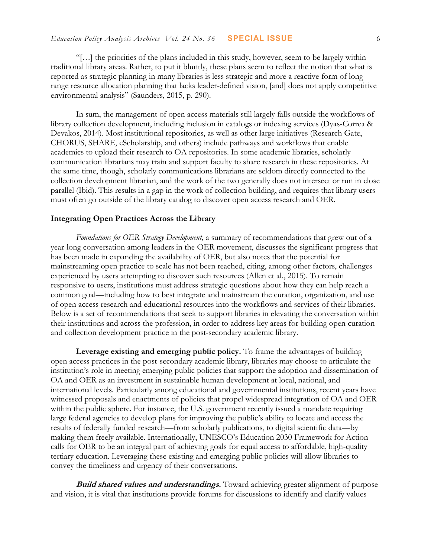"[…] the priorities of the plans included in this study, however, seem to be largely within traditional library areas. Rather, to put it bluntly, these plans seem to reflect the notion that what is reported as strategic planning in many libraries is less strategic and more a reactive form of long range resource allocation planning that lacks leader-defined vision, [and] does not apply competitive environmental analysis" (Saunders, 2015, p. 290).

In sum, the management of open access materials still largely falls outside the workflows of library collection development, including inclusion in catalogs or indexing services (Dyas-Correa & Devakos, 2014). Most institutional repositories, as well as other large initiatives (Research Gate, CHORUS, SHARE, eScholarship, and others) include pathways and workflows that enable academics to upload their research to OA repositories. In some academic libraries, scholarly communication librarians may train and support faculty to share research in these repositories. At the same time, though, scholarly communications librarians are seldom directly connected to the collection development librarian, and the work of the two generally does not intersect or run in close parallel (Ibid). This results in a gap in the work of collection building, and requires that library users must often go outside of the library catalog to discover open access research and OER.

## **Integrating Open Practices Across the Library**

*Foundations for OER Strategy Development,* a summary of recommendations that grew out of a year-long conversation among leaders in the OER movement, discusses the significant progress that has been made in expanding the availability of OER, but also notes that the potential for mainstreaming open practice to scale has not been reached, citing, among other factors, challenges experienced by users attempting to discover such resources (Allen et al., 2015). To remain responsive to users, institutions must address strategic questions about how they can help reach a common goal—including how to best integrate and mainstream the curation, organization, and use of open access research and educational resources into the workflows and services of their libraries. Below is a set of recommendations that seek to support libraries in elevating the conversation within their institutions and across the profession, in order to address key areas for building open curation and collection development practice in the post-secondary academic library.

**Leverage existing and emerging public policy.** To frame the advantages of building open access practices in the post-secondary academic library, libraries may choose to articulate the institution's role in meeting emerging public policies that support the adoption and dissemination of OA and OER as an investment in sustainable human development at local, national, and international levels. Particularly among educational and governmental institutions, recent years have witnessed proposals and enactments of policies that propel widespread integration of OA and OER within the public sphere. For instance, the U.S. government recently issued a mandate requiring large federal agencies to develop plans for improving the public's ability to locate and access the results of federally funded research—from scholarly publications, to digital scientific data—by making them freely available. Internationally, UNESCO's Education 2030 Framework for Action calls for OER to be an integral part of achieving goals for equal access to affordable, high-quality tertiary education. Leveraging these existing and emerging public policies will allow libraries to convey the timeliness and urgency of their conversations.

**Build shared values and understandings.** Toward achieving greater alignment of purpose and vision, it is vital that institutions provide forums for discussions to identify and clarify values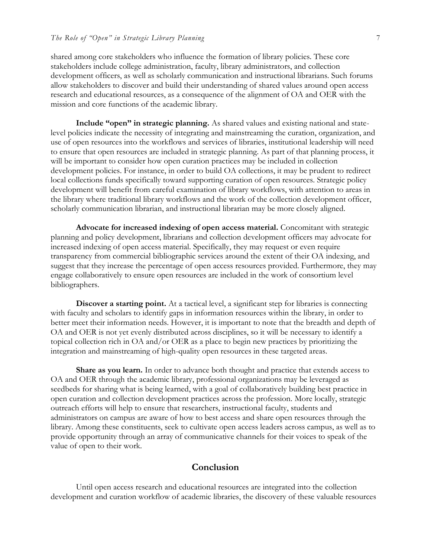#### *The Role of "Open" in Strategic Library Planning* 7

shared among core stakeholders who influence the formation of library policies. These core stakeholders include college administration, faculty, library administrators, and collection development officers, as well as scholarly communication and instructional librarians. Such forums allow stakeholders to discover and build their understanding of shared values around open access research and educational resources, as a consequence of the alignment of OA and OER with the mission and core functions of the academic library.

**Include "open" in strategic planning.** As shared values and existing national and statelevel policies indicate the necessity of integrating and mainstreaming the curation, organization, and use of open resources into the workflows and services of libraries, institutional leadership will need to ensure that open resources are included in strategic planning. As part of that planning process, it will be important to consider how open curation practices may be included in collection development policies. For instance, in order to build OA collections, it may be prudent to redirect local collections funds specifically toward supporting curation of open resources. Strategic policy development will benefit from careful examination of library workflows, with attention to areas in the library where traditional library workflows and the work of the collection development officer, scholarly communication librarian, and instructional librarian may be more closely aligned.

**Advocate for increased indexing of open access material.** Concomitant with strategic planning and policy development, librarians and collection development officers may advocate for increased indexing of open access material. Specifically, they may request or even require transparency from commercial bibliographic services around the extent of their OA indexing, and suggest that they increase the percentage of open access resources provided. Furthermore, they may engage collaboratively to ensure open resources are included in the work of consortium level bibliographers.

**Discover a starting point.** At a tactical level, a significant step for libraries is connecting with faculty and scholars to identify gaps in information resources within the library, in order to better meet their information needs. However, it is important to note that the breadth and depth of OA and OER is not yet evenly distributed across disciplines, so it will be necessary to identify a topical collection rich in OA and/or OER as a place to begin new practices by prioritizing the integration and mainstreaming of high-quality open resources in these targeted areas.

**Share as you learn.** In order to advance both thought and practice that extends access to OA and OER through the academic library, professional organizations may be leveraged as seedbeds for sharing what is being learned, with a goal of collaboratively building best practice in open curation and collection development practices across the profession. More locally, strategic outreach efforts will help to ensure that researchers, instructional faculty, students and administrators on campus are aware of how to best access and share open resources through the library. Among these constituents, seek to cultivate open access leaders across campus, as well as to provide opportunity through an array of communicative channels for their voices to speak of the value of open to their work.

### **Conclusion**

Until open access research and educational resources are integrated into the collection development and curation workflow of academic libraries, the discovery of these valuable resources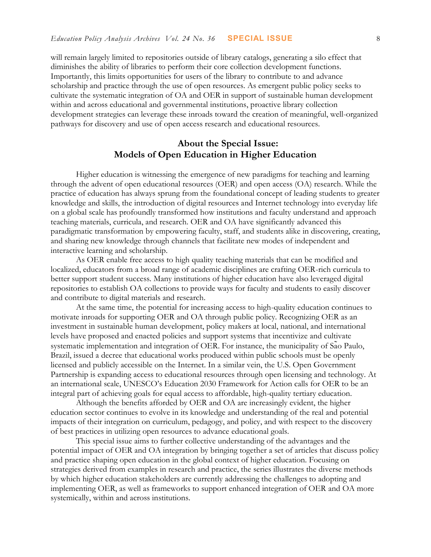will remain largely limited to repositories outside of library catalogs, generating a silo effect that diminishes the ability of libraries to perform their core collection development functions. Importantly, this limits opportunities for users of the library to contribute to and advance scholarship and practice through the use of open resources. As emergent public policy seeks to cultivate the systematic integration of OA and OER in support of sustainable human development within and across educational and governmental institutions, proactive library collection development strategies can leverage these inroads toward the creation of meaningful, well-organized pathways for discovery and use of open access research and educational resources.

# **About the Special Issue: Models of Open Education in Higher Education**

Higher education is witnessing the emergence of new paradigms for teaching and learning through the advent of open educational resources (OER) and open access (OA) research. While the practice of education has always sprung from the foundational concept of leading students to greater knowledge and skills, the introduction of digital resources and Internet technology into everyday life on a global scale has profoundly transformed how institutions and faculty understand and approach teaching materials, curricula, and research. OER and OA have significantly advanced this paradigmatic transformation by empowering faculty, staff, and students alike in discovering, creating, and sharing new knowledge through channels that facilitate new modes of independent and interactive learning and scholarship.

As OER enable free access to high quality teaching materials that can be modified and localized, educators from a broad range of academic disciplines are crafting OER-rich curricula to better support student success. Many institutions of higher education have also leveraged digital repositories to establish OA collections to provide ways for faculty and students to easily discover and contribute to digital materials and research.

At the same time, the potential for increasing access to high-quality education continues to motivate inroads for supporting OER and OA through public policy. Recognizing OER as an investment in sustainable human development, policy makers at local, national, and international levels have proposed and enacted policies and support systems that incentivize and cultivate systematic implementation and integration of OER. For instance, the municipality of Sao Paulo, Brazil, issued a decree that educational works produced within public schools must be openly licensed and publicly accessible on the Internet. In a similar vein, the U.S. Open Government Partnership is expanding access to educational resources through open licensing and technology. At an international scale, UNESCO's Education 2030 Framework for Action calls for OER to be an integral part of achieving goals for equal access to affordable, high-quality tertiary education.

Although the benefits afforded by OER and OA are increasingly evident, the higher education sector continues to evolve in its knowledge and understanding of the real and potential impacts of their integration on curriculum, pedagogy, and policy, and with respect to the discovery of best practices in utilizing open resources to advance educational goals.

This special issue aims to further collective understanding of the advantages and the potential impact of OER and OA integration by bringing together a set of articles that discuss policy and practice shaping open education in the global context of higher education. Focusing on strategies derived from examples in research and practice, the series illustrates the diverse methods by which higher education stakeholders are currently addressing the challenges to adopting and implementing OER, as well as frameworks to support enhanced integration of OER and OA more systemically, within and across institutions.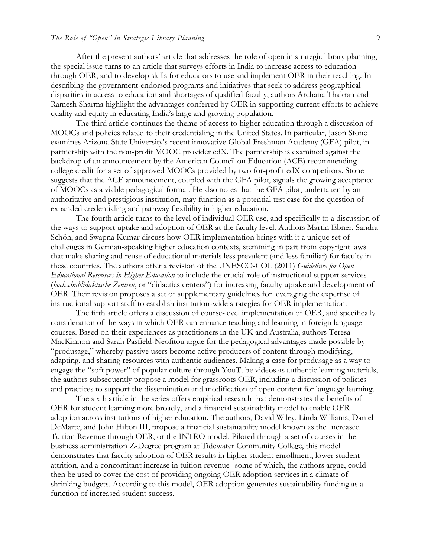### *The Role of "Open" in Strategic Library Planning* 9

After the present authors' article that addresses the role of open in strategic library planning, the special issue turns to an article that surveys efforts in India to increase access to education through OER, and to develop skills for educators to use and implement OER in their teaching. In describing the government-endorsed programs and initiatives that seek to address geographical disparities in access to education and shortages of qualified faculty, authors Archana Thakran and Ramesh Sharma highlight the advantages conferred by OER in supporting current efforts to achieve quality and equity in educating India's large and growing population.

The third article continues the theme of access to higher education through a discussion of MOOCs and policies related to their credentialing in the United States. In particular, Jason Stone examines Arizona State University's recent innovative Global Freshman Academy (GFA) pilot, in partnership with the non-profit MOOC provider edX. The partnership is examined against the backdrop of an announcement by the American Council on Education (ACE) recommending college credit for a set of approved MOOCs provided by two for-profit edX competitors. Stone suggests that the ACE announcement, coupled with the GFA pilot, signals the growing acceptance of MOOCs as a viable pedagogical format. He also notes that the GFA pilot, undertaken by an authoritative and prestigious institution, may function as a potential test case for the question of expanded credentialing and pathway flexibility in higher education.

The fourth article turns to the level of individual OER use, and specifically to a discussion of the ways to support uptake and adoption of OER at the faculty level. Authors Martin Ebner, Sandra Schön, and Swapna Kumar discuss how OER implementation brings with it a unique set of challenges in German-speaking higher education contexts, stemming in part from copyright laws that make sharing and reuse of educational materials less prevalent (and less familiar) for faculty in these countries. The authors offer a revision of the UNESCO-COL (2011) *Guidelines for Open Educational Resources in Higher Education* to include the crucial role of instructional support services (*hochschuldidaktische Zentren*, or "didactics centers") for increasing faculty uptake and development of OER. Their revision proposes a set of supplementary guidelines for leveraging the expertise of instructional support staff to establish institution-wide strategies for OER implementation.

The fifth article offers a discussion of course-level implementation of OER, and specifically consideration of the ways in which OER can enhance teaching and learning in foreign language courses. Based on their experiences as practitioners in the UK and Australia, authors Teresa MacKinnon and Sarah Pasfield-Neofitou argue for the pedagogical advantages made possible by "produsage," whereby passive users become active producers of content through modifying, adapting, and sharing resources with authentic audiences. Making a case for produsage as a way to engage the "soft power" of popular culture through YouTube videos as authentic learning materials, the authors subsequently propose a model for grassroots OER, including a discussion of policies and practices to support the dissemination and modification of open content for language learning.

The sixth article in the series offers empirical research that demonstrates the benefits of OER for student learning more broadly, and a financial sustainability model to enable OER adoption across institutions of higher education. The authors, David Wiley, Linda Williams, Daniel DeMarte, and John Hilton III, propose a financial sustainability model known as the Increased Tuition Revenue through OER, or the INTRO model. Piloted through a set of courses in the business administration Z-Degree program at Tidewater Community College, this model demonstrates that faculty adoption of OER results in higher student enrollment, lower student attrition, and a concomitant increase in tuition revenue--some of which, the authors argue, could then be used to cover the cost of providing ongoing OER adoption services in a climate of shrinking budgets. According to this model, OER adoption generates sustainability funding as a function of increased student success.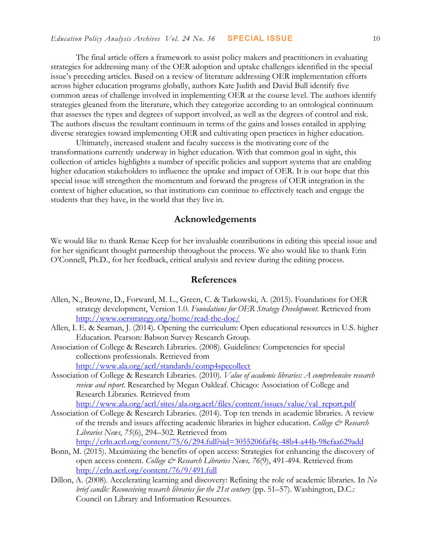The final article offers a framework to assist policy makers and practitioners in evaluating strategies for addressing many of the OER adoption and uptake challenges identified in the special issue's preceding articles. Based on a review of literature addressing OER implementation efforts across higher education programs globally, authors Kate Judith and David Bull identify five common areas of challenge involved in implementing OER at the course level. The authors identify strategies gleaned from the literature, which they categorize according to an ontological continuum that assesses the types and degrees of support involved, as well as the degrees of control and risk. The authors discuss the resultant continuum in terms of the gains and losses entailed in applying diverse strategies toward implementing OER and cultivating open practices in higher education.

Ultimately, increased student and faculty success is the motivating core of the transformations currently underway in higher education. With that common goal in sight, this collection of articles highlights a number of specific policies and support systems that are enabling higher education stakeholders to influence the uptake and impact of OER. It is our hope that this special issue will strengthen the momentum and forward the progress of OER integration in the context of higher education, so that institutions can continue to effectively teach and engage the students that they have, in the world that they live in.

## **Acknowledgements**

We would like to thank Renae Keep for her invaluable contributions in editing this special issue and for her significant thought partnership throughout the process. We also would like to thank Erin O'Connell, Ph.D., for her feedback, critical analysis and review during the editing process.

## **References**

- Allen, N., Browne, D., Forward, M. L., Green, C. & Tarkowski, A. (2015). Foundations for OER strategy development, Version 1.0. *Foundations for OER Strategy Development.* Retrieved from <http://www.oerstrategy.org/home/read-the-doc/>
- Allen, I. E. & Seaman, J. (2014). Opening the curriculum: Open educational resources in U.S. higher Education. Pearson: Babson Survey Research Group.
- Association of College & Research Libraries. (2008). Guidelines: Competencies for special collections professionals. Retrieved from <http://www.ala.org/acrl/standards/comp4specollect>
- Association of College & Research Libraries. (2010). *Value of academic libraries: A comprehensive research review and report.* Researched by Megan Oakleaf. Chicago: Association of College and Research Libraries. Retrieved from [http://www.ala.org/acrl/sites/ala.org.acrl/files/content/issues/value/val\\_report.pdf](http://www.ala.org/acrl/sites/ala.org.acrl/files/content/issues/value/val_report.pdf)
- Association of College & Research Libraries. (2014). Top ten trends in academic libraries. A review of the trends and issues affecting academic libraries in higher education. *College & Research*
- *Libraries News*, *75*(6), 294–302. Retrieved from
	- <http://crln.acrl.org/content/75/6/294.full?sid=3055206faf4c-48b4-a44b-98efaa629add>
- Bonn, M. (2015). Maximizing the benefits of open access: Strategies for enhancing the discovery of open access content. *College & Research Libraries News, 76*(9), 491-494. Retrieved from <http://crln.acrl.org/content/76/9/491.full>
- Dillon, A. (2008). Accelerating learning and discovery: Refining the role of academic libraries. In *No brief candle: Reconceiving research libraries for the 21st century* (pp. 51–57). Washington, D.C.: Council on Library and Information Resources.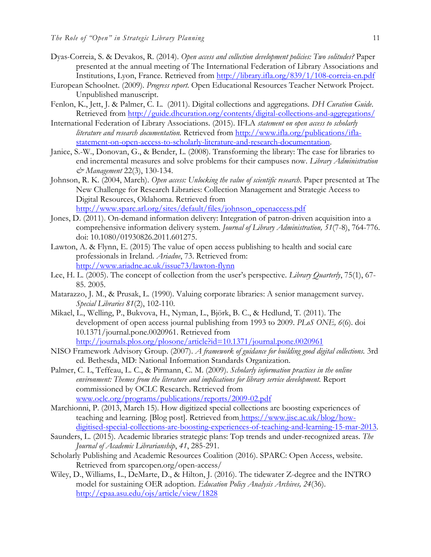- Dyas-Correia, S. & Devakos, R. (2014). *Open access and collection development policies: Two solitudes?* Paper presented at the annual meeting of The International Federation of Library Associations and Institutions, Lyon, France. Retrieved from<http://library.ifla.org/839/1/108-correia-en.pdf>
- European Schoolnet. (2009). *Progress report*. Open Educational Resources Teacher Network Project. Unpublished manuscript.
- Fenlon, K., Jett, J. & Palmer, C. L. (2011). Digital collections and aggregations*. DH Curation Guide*. Retrieved from<http://guide.dhcuration.org/contents/digital-collections-and-aggregations/>
- International Federation of Library Associations. (2015). IFLA *statement on open access to scholarly literature and research documentation.* Retrieved from [http://www.ifla.org/publications/ifla](http://www.ifla.org/publications/ifla-statement-on-open-access-to-scholarly-literature-and-research-documentation)[statement-on-open-access-to-scholarly-literature-and-research-documentation.](http://www.ifla.org/publications/ifla-statement-on-open-access-to-scholarly-literature-and-research-documentation)
- Janice, S.-W., Donovan, G., & Bender, L. (2008). Transforming the library: The case for libraries to end incremental measures and solve problems for their campuses now. *Library Administration & Management* 22(3), 130-134.
- Johnson, R. K. (2004, March). *Open access: Unlocking the value of scientific research*. Paper presented at The New Challenge for Research Libraries: Collection Management and Strategic Access to Digital Resources, Oklahoma. Retrieved from [http://www.sparc.arl.org/sites/default/files/johnson\\_openaccess.pdf](http://www.sparc.arl.org/sites/default/files/johnson_openaccess.pdf)
- Jones, D. (2011). On-demand information delivery: Integration of patron-driven acquisition into a comprehensive information delivery system. *Journal of Library Administration, 51*(7-8), 764-776. doi: 10.1080/01930826.2011.601275.
- Lawton, A. & Flynn, E. (2015) The value of open access publishing to health and social care professionals in Ireland. *Ariadne*, 73. Retrieved from: <http://www.ariadne.ac.uk/issue73/lawton-flynn>
- Lee, H. L. (2005). The concept of collection from the user's perspective. *Library Quarterly*, 75(1), 67- 85. 2005.
- Matarazzo, J. M., & Prusak, L. (1990). Valuing corporate libraries: A senior management survey. *Special Libraries 81*(2), 102-110.
- Mikael, L., Welling, P., Bukvova, H., Nyman, L., Björk, B. C., & Hedlund, T. (2011). The development of open access journal publishing from 1993 to 2009. *PLoS ONE, 6*(6). doi 10.1371/journal.pone.0020961. Retrieved from <http://journals.plos.org/plosone/article?id=10.1371/journal.pone.0020961>
- NISO Framework Advisory Group. (2007). *A framework of guidance for building good digital collections.* 3rd ed. Bethesda, MD: National Information Standards Organization.
- Palmer, C. L, Teffeau, L. C., & Pirmann, C. M. (2009). *Scholarly information practices in the online environment: Themes from the literature and implications for library service development.* Report commissioned by OCLC Research. Retrieved from [www.oclc.org/programs/publications/reports/2009-02.pdf](http://www.oclc.org/programs/publications/reports/2009-02.pdf)
- Marchionni, P. (2013, March 15). How digitized special collections are boosting experiences of teaching and learning. [Blog post]. Retrieved from [https://www.jisc.ac.uk/blog/how](https://www.jisc.ac.uk/staff/paola-marchionni)[digitised-special-collections-are-boosting-experiences-of-teaching-and-learning-15-mar-2013.](https://www.jisc.ac.uk/blog/how-digitised-special-collections-are-boosting-experiences-of-teaching-and-learning-15-mar-2013)
- Saunders, L. (2015). Academic libraries strategic plans: Top trends and under-recognized areas. *The Journal of Academic Librarianship*, *41*, 285-291.
- Scholarly Publishing and Academic Resources Coalition (2016). SPARC: Open Access, website. Retrieved from sparcopen.org/open-access/
- Wiley, D., Williams, L., DeMarte, D., & Hilton, J. (2016). The tidewater Z-degree an[d the INTRO](http://dx.doi.org/10.14507/epaa.v23.1828)  model for sustaining OER adoption. *Education Policy Analysis Archives, 24*(36). [http://epaa.asu.edu/ojs/article/view/1828](http://dx.doi.org/10.14507/epaa.v23.1828)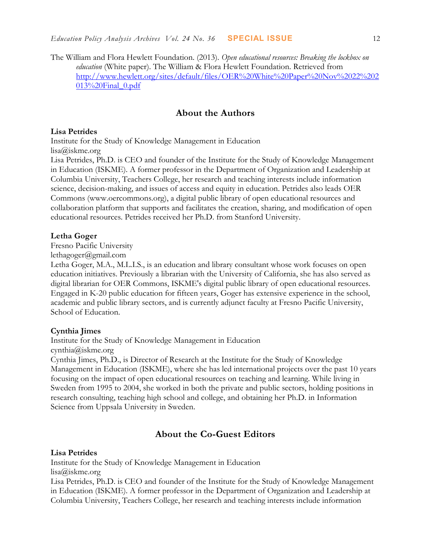The William and Flora Hewlett Foundation. (2013). *Open educational resources: Breaking the lockbox on education* (White paper). The William & Flora Hewlett Foundation. Retrieved from [http://www.hewlett.org/sites/default/files/OER%20White%20Paper%20Nov%2022%202](http://www.hewlett.org/sites/default/files/OER%20White%20Paper%20Nov%2022%202013%20Final_0.pdf)  $013\%20$ Final  $0.$ pdf

## **About the Authors**

#### **Lisa Petrides**

Institute for the Study of Knowledge Management in Education lisa@iskme.org

Lisa Petrides, Ph.D. is CEO and founder of the Institute for the Study of Knowledge Management in Education (ISKME). A former professor in the Department of Organization and Leadership at Columbia University, Teachers College, her research and teaching interests include information science, decision-making, and issues of access and equity in education. Petrides also leads OER Commons (www.oercommons.org), a digital public library of open educational resources and collaboration platform that supports and facilitates the creation, sharing, and modification of open educational resources. Petrides received her Ph.D. from Stanford University.

#### **Letha Goger**

Fresno Pacific University

[lethagoger@gmail.com](mailto:lethagoger@gmail.com)

Letha Goger, M.A., M.L.I.S., is an education and library consultant whose work focuses on open education initiatives. Previously a librarian with the University of California, she has also served as digital librarian for OER Commons, ISKME's digital public library of open educational resources. Engaged in K-20 public education for fifteen years, Goger has extensive experience in the school, academic and public library sectors, and is currently adjunct faculty at Fresno Pacific University, School of Education.

#### **Cynthia Jimes**

Institute for the Study of Knowledge Management in Education

cynthia@iskme.org

Cynthia Jimes, Ph.D., is Director of Research at the Institute for the Study of Knowledge Management in Education (ISKME), where she has led international projects over the past 10 years focusing on the impact of open educational resources on teaching and learning. While living in Sweden from 1995 to 2004, she worked in both the private and public sectors, holding positions in research consulting, teaching high school and college, and obtaining her Ph.D. in Information Science from Uppsala University in Sweden.

# **About the Co-Guest Editors**

#### **Lisa Petrides**

Institute for the Study of Knowledge Management in Education lisa@iskme.org

Lisa Petrides, Ph.D. is CEO and founder of the Institute for the Study of Knowledge Management in Education (ISKME). A former professor in the Department of Organization and Leadership at Columbia University, Teachers College, her research and teaching interests include information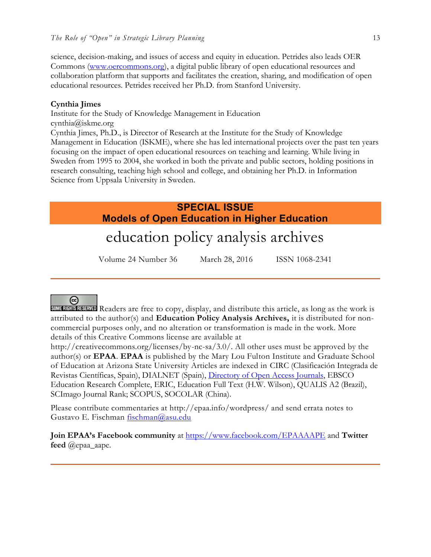science, decision-making, and issues of access and equity in education. Petrides also leads OER Commons [\(www.oercommons.org\)](http://www.oercommons.org/), a digital public library of open educational resources and collaboration platform that supports and facilitates the creation, sharing, and modification of open educational resources. Petrides received her Ph.D. from Stanford University.

## **Cynthia Jimes**

Institute for the Study of Knowledge Management in Education cynthia@iskme.org Cynthia Jimes, Ph.D., is Director of Research at the Institute for the Study of Knowledge Management in Education (ISKME), where she has led international projects over the past ten years focusing on the impact of open educational resources on teaching and learning. While living in Sweden from 1995 to 2004, she worked in both the private and public sectors, holding positions in research consulting, teaching high school and college, and obtaining her Ph.D. in Information Science from Uppsala University in Sweden.

# **SPECIAL ISSUE Models of Open Education in Higher Education**

# education policy analysis archives

Volume 24 Number 36 March 28, 2016 ISSN 1068-2341

# @

SOME RIGHTS RESERVED Readers are free to copy, display, and distribute this article, as long as the work is attributed to the author(s) and **Education Policy Analysis Archives,** it is distributed for noncommercial purposes only, and no alteration or transformation is made in the work. More details of this Creative Commons license are available at

http://creativecommons.org/licenses/by-nc-sa/3.0/. All other uses must be approved by the author(s) or **EPAA**. **EPAA** is published by the Mary Lou Fulton Institute and Graduate School of Education at Arizona State University Articles are indexed in CIRC (Clasificación Integrada de Revistas Científicas, Spain), DIALNET (Spain), [Directory of Open Access Journals,](http://www.doaj.org/) EBSCO Education Research Complete, ERIC, Education Full Text (H.W. Wilson), QUALIS A2 (Brazil), SCImago Journal Rank; SCOPUS, SOCOLAR (China).

Please contribute commentaries at http://epaa.info/wordpress/ and send errata notes to Gustavo E. Fischman [fischman@asu.edu](mailto:fischman@asu.edu)

**Join EPAA's Facebook community** at<https://www.facebook.com/EPAAAAPE> and **Twitter feed** @epaa\_aape.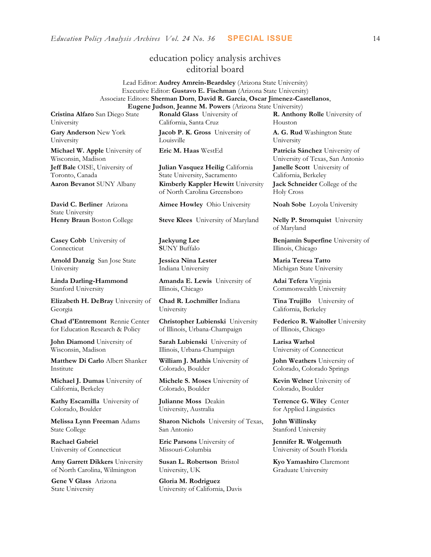# education policy analysis archives editorial board

Lead Editor: **Audrey Amrein-Beardsley** (Arizona State University) Executive Editor: **Gustavo E. Fischman** (Arizona State University) Associate Editors: **Sherman Dorn**, **David R. Garcia**, **Oscar Jimenez-Castellanos**, **Eugene Judson**, **Jeanne M. Powers** (Arizona State University)

**Cristina Alfaro** San Diego State University

**Gary Anderson** New York University

**Michael W. Apple** University of Wisconsin, Madison **Jeff Bale** OISE, University of Toronto, Canada

**David C. Berliner** Arizona State University

**Casey Cobb** University of Connecticut

**Arnold Danzig** San Jose State University

**Linda Darling-Hammond**  Stanford University

**Elizabeth H. DeBray** University of Georgia

**Chad d'Entremont** Rennie Center for Education Research & Policy

**John Diamond** University of Wisconsin, Madison

**Matthew Di Carlo** Albert Shanker Institute

**Michael J. Dumas** University of California, Berkeley

**Kathy Escamilla** University of Colorado, Boulder

**Melissa Lynn Freeman** Adams State College

**Rachael Gabriel** University of Connecticut

**Amy Garrett Dikkers** University of North Carolina, Wilmington

**Gene V Glass** Arizona State University

**Ronald Glass** University of California, Santa Cruz

**Jacob P. K. Gross** University of Louisville

**Julian Vasquez Heilig** California State University, Sacramento **Aaron Bevanot** SUNY Albany **Kimberly Kappler Hewitt** University of North Carolina Greensboro

**Henry Braun** Boston College **Steve Klees** University of Maryland **Nelly P. Stromquist** University

**Jaekyung Lee S**UNY Buffalo

**Jessica Nina Lester** Indiana University

**Amanda E. Lewis** University of Illinois, Chicago

**Chad R. Lochmiller** Indiana University

**Christopher Lubienski** University of Illinois, Urbana-Champaign

**Sarah Lubienski** University of Illinois, Urbana-Champaign

**William J. Mathis** University of Colorado, Boulder

**Michele S. Moses** University of Colorado, Boulder

**Julianne Moss** Deakin University, Australia

**Sharon Nichols** University of Texas, San Antonio

**Eric Parsons** University of Missouri-Columbia

**Susan L. Robertson** Bristol University, UK

**Gloria M. Rodriguez** University of California, Davis **R. Anthony Rolle** University of Houston

**A. G. Rud** Washington State University

**Eric M. Haas** WestEd **Patricia Sánchez** University of University of Texas, San Antonio **Janelle Scott** University of California, Berkeley **Jack Schneider** College of the Holy Cross

**Aimee Howley** Ohio University **Noah Sobe** Loyola University

of Maryland

**Benjamin Superfine** University of Illinois, Chicago

**Maria Teresa Tatto**  Michigan State University

**Adai Tefera** Virginia Commonwealth University

**Tina Trujillo** University of California, Berkeley

**Federico R. Waitoller** University of Illinois, Chicago

**Larisa Warhol** University of Connecticut

**John Weathers** University of Colorado, Colorado Springs

**Kevin Welner** University of Colorado, Boulder

**Terrence G. Wiley** Center for Applied Linguistics

**John Willinsky**  Stanford University

**Jennifer R. Wolgemuth**  University of South Florida

**Kyo Yamashiro** Claremont Graduate University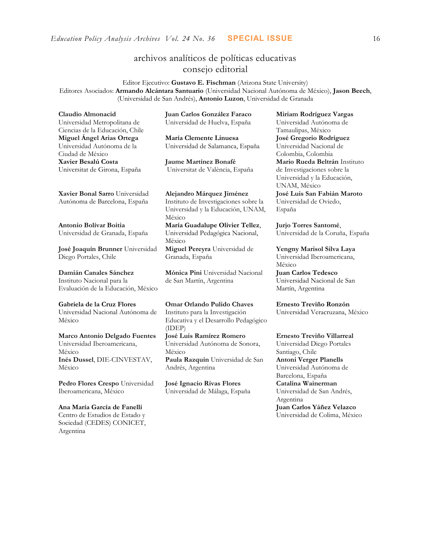# archivos analíticos de políticas educativas consejo editorial

Editor Ejecutivo: **Gustavo E. Fischman** (Arizona State University) Editores Asociados: **Armando Alcántara Santuario** (Universidad Nacional Autónoma de México), **Jason Beech**, (Universidad de San Andrés), **Antonio Luzon**, Universidad de Granada

**Claudio Almonacid**

Universidad Metropolitana de Ciencias de la Educación, Chile **Miguel Ángel Arias Ortega**  Universidad Autónoma de la Ciudad de México **Xavier Besalú Costa**  Universitat de Girona, España

**Juan Carlos González Faraco**  Universidad de Huelva, España

**María Clemente Linuesa**  Universidad de Salamanca, España

**Jaume Martínez Bonafé** Universitat de València, España

**[Xavier Bonal](javascript:openRTWindow() Sarro** Universidad Autónoma de Barcelona, España

**[Antonio Bolívar](javascript:openRTWindow() Boitia** Universidad de Granada, España

**[José Joaquín Brunner](javascript:openRTWindow()** Universidad Diego Portales, Chile

**[Damián Canales Sánchez](javascript:openRTWindow()** Instituto Nacional para la Evaluación de la Educación, México

**Gabriela de la Cruz Flores** Universidad Nacional Autónoma de México

**[Marco Antonio Delgado Fuentes](javascript:openRTWindow()** Universidad Iberoamericana, México **[Inés Dussel](javascript:openRTWindow()**, DIE-CINVESTAV, México

**[Pedro Flores Crespo](javascript:openRTWindow()** Universidad Iberoamericana, México

**Ana María García de Fanelli**  Centro de Estudios de Estado y Sociedad (CEDES) CONICET, Argentina

**Alejandro Márquez Jiménez**  Instituto de Investigaciones sobre la Universidad y la Educación, UNAM, México **María Guadalupe Olivier Tellez**,

Universidad Pedagógica Nacional, México **[Miguel Pereyra](javascript:openRTWindow()** Universidad de

Granada, España

**[Mónica Pini](javascript:openRTWindow()** Universidad Nacional de San Martín, Argentina

**Omar Orlando Pulido Chaves** Instituto para la Investigación Educativa y el Desarrollo Pedagógico (IDEP)

**[José Luis Ramírez](javascript:openRTWindow() Romero** Universidad Autónoma de Sonora, México **[Paula Razquin](javascript:openRTWindow()** Universidad de San Andrés, Argentina

**José Ignacio Rivas Flores** Universidad de Málaga, España **[Miriam Rodríguez Vargas](javascript:openRTWindow()** Universidad Autónoma de Tamaulipas, México **José Gregorio Rodríguez**  Universidad Nacional de Colombia, Colombia **[Mario Rueda Beltrán](javascript:openRTWindow()** Instituto de Investigaciones sobre la Universidad y la Educación, UNAM, México **José Luis San Fabián Maroto**  Universidad de Oviedo, España

**[Jurjo Torres Santomé](javascript:openRTWindow()**, Universidad de la Coruña, España

**[Yengny Marisol Silva Laya](javascript:openRTWindow()** Universidad Iberoamericana, México

**Juan Carlos Tedesco** Universidad Nacional de San Martín, Argentina

**Ernesto Treviño Ronzón** Universidad Veracruzana, México

**[Ernesto Treviño](javascript:openRTWindow() Villarreal**

Universidad Diego Portales Santiago, Chile **[Antoni Verger Planells](javascript:openRTWindow()** Universidad Autónoma de Barcelona, España **[Catalina Wainerman](javascript:openRTWindow()** Universidad de San Andrés, Argentina **Juan Carlos Yáñez Velazco** Universidad de Colima, México